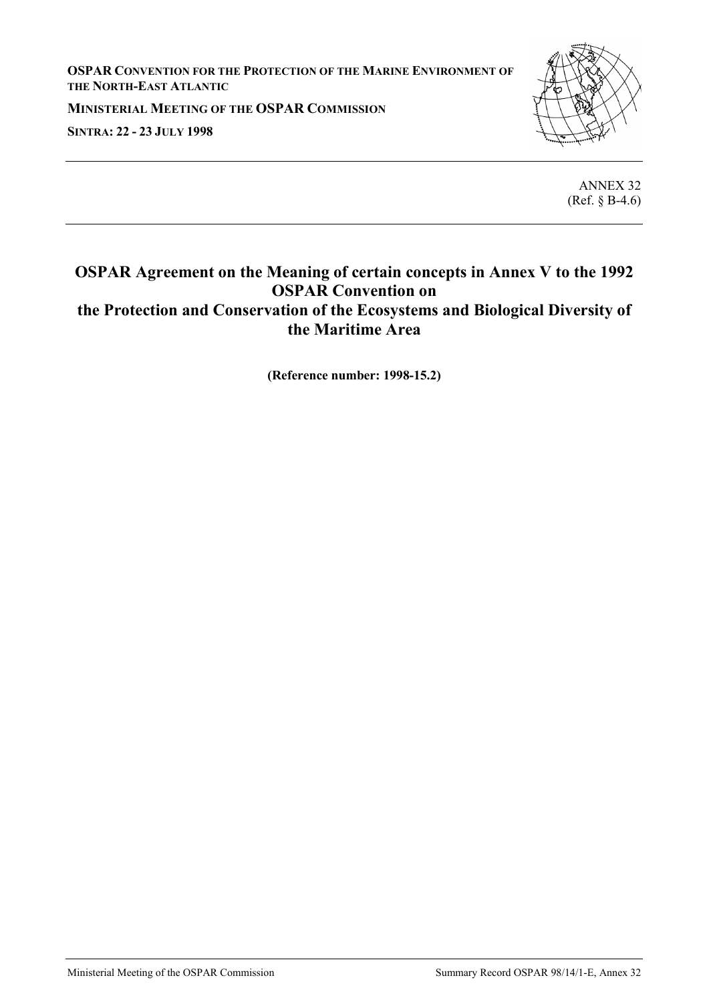**OSPAR CONVENTION FOR THE PROTECTION OF THE MARINE ENVIRONMENT OF THE NORTH-EAST ATLANTIC**

**MINISTERIAL MEETING OF THE OSPAR COMMISSION SINTRA: 22 - 23 JULY 1998**



ANNEX 32 (Ref. § B-4.6)

## **OSPAR Agreement on the Meaning of certain concepts in Annex V to the 1992 OSPAR Convention on the Protection and Conservation of the Ecosystems and Biological Diversity of the Maritime Area**

**(Reference number: 1998-15.2)**